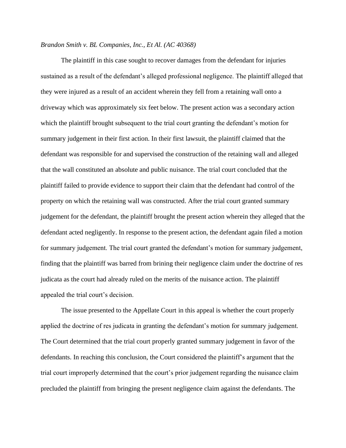## *Brandon Smith v. BL Companies, Inc., Et Al. (AC 40368)*

The plaintiff in this case sought to recover damages from the defendant for injuries sustained as a result of the defendant's alleged professional negligence. The plaintiff alleged that they were injured as a result of an accident wherein they fell from a retaining wall onto a driveway which was approximately six feet below. The present action was a secondary action which the plaintiff brought subsequent to the trial court granting the defendant's motion for summary judgement in their first action. In their first lawsuit, the plaintiff claimed that the defendant was responsible for and supervised the construction of the retaining wall and alleged that the wall constituted an absolute and public nuisance. The trial court concluded that the plaintiff failed to provide evidence to support their claim that the defendant had control of the property on which the retaining wall was constructed. After the trial court granted summary judgement for the defendant, the plaintiff brought the present action wherein they alleged that the defendant acted negligently. In response to the present action, the defendant again filed a motion for summary judgement. The trial court granted the defendant's motion for summary judgement, finding that the plaintiff was barred from brining their negligence claim under the doctrine of res judicata as the court had already ruled on the merits of the nuisance action. The plaintiff appealed the trial court's decision.

The issue presented to the Appellate Court in this appeal is whether the court properly applied the doctrine of res judicata in granting the defendant's motion for summary judgement. The Court determined that the trial court properly granted summary judgement in favor of the defendants. In reaching this conclusion, the Court considered the plaintiff's argument that the trial court improperly determined that the court's prior judgement regarding the nuisance claim precluded the plaintiff from bringing the present negligence claim against the defendants. The